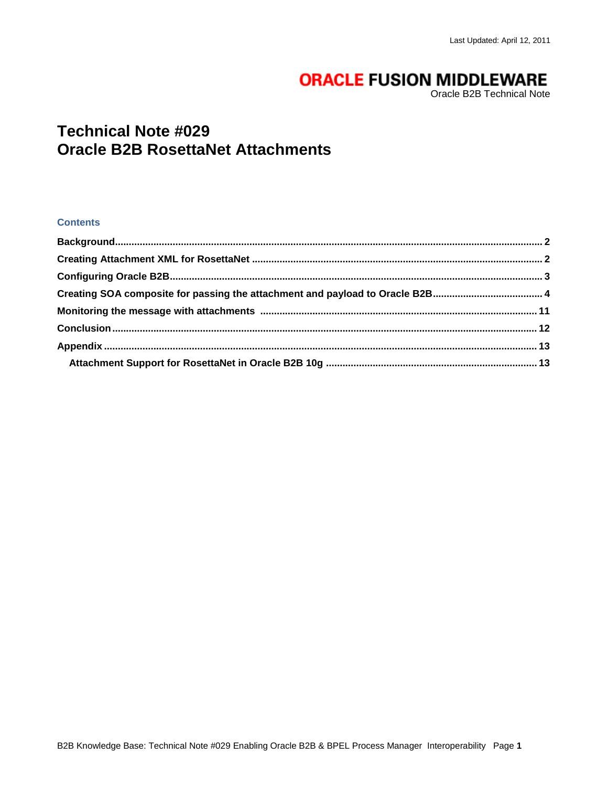# **ORACLE FUSION MIDDLEWARE**

Oracle B2B Technical Note

## **Technical Note #029 Oracle B2B RosettaNet Attachments**

#### **Contents**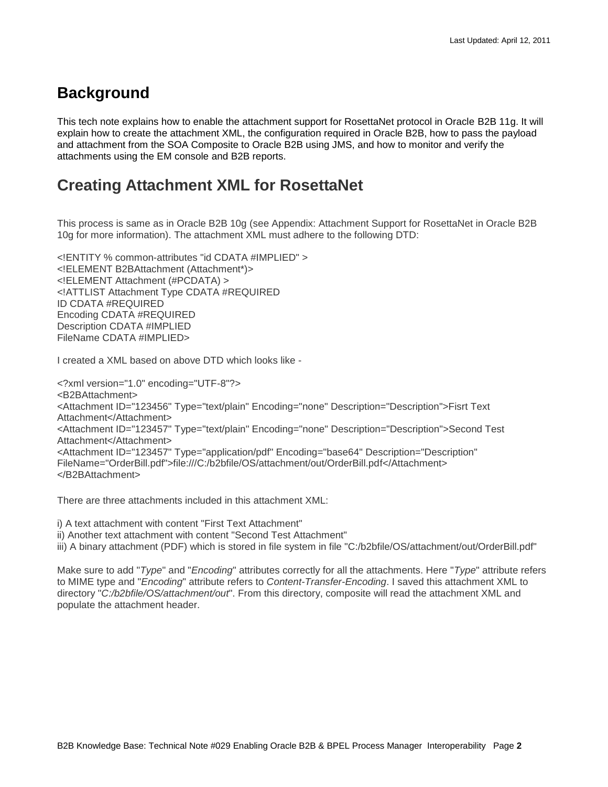## <span id="page-1-0"></span>**Background**

This tech note explains how to enable the attachment support for RosettaNet protocol in Oracle B2B 11g. It will explain how to create the attachment XML, the configuration required in Oracle B2B, how to pass the payload and attachment from the SOA Composite to Oracle B2B using JMS, and how to monitor and verify the attachments using the EM console and B2B reports.

## <span id="page-1-1"></span>**Creating Attachment XML for RosettaNet**

This process is same as in Oracle B2B 10g (see Appendix: Attachment Support for RosettaNet in Oracle B2B 10g for more information). The attachment XML must adhere to the following DTD:

<!ENTITY % common-attributes "id CDATA #IMPLIED" > <!ELEMENT B2BAttachment (Attachment\*)> <!ELEMENT Attachment (#PCDATA) > <!ATTLIST Attachment Type CDATA #REQUIRED ID CDATA #REQUIRED Encoding CDATA #REQUIRED Description CDATA #IMPLIED FileName CDATA #IMPLIED>

I created a XML based on above DTD which looks like -

<?xml version="1.0" encoding="UTF-8"?> <B2BAttachment> <Attachment ID="123456" Type="text/plain" Encoding="none" Description="Description">Fisrt Text Attachment</Attachment> <Attachment ID="123457" Type="text/plain" Encoding="none" Description="Description">Second Test Attachment</Attachment> <Attachment ID="123457" Type="application/pdf" Encoding="base64" Description="Description" FileName="OrderBill.pdf">file:///C:/b2bfile/OS/attachment/out/OrderBill.pdf</Attachment> </B2BAttachment>

There are three attachments included in this attachment XML:

i) A text attachment with content "First Text Attachment"

ii) Another text attachment with content "Second Test Attachment"

iii) A binary attachment (PDF) which is stored in file system in file "C:/b2bfile/OS/attachment/out/OrderBill.pdf"

Make sure to add "*Type*" and "*Encoding*" attributes correctly for all the attachments. Here "*Type*" attribute refers to MIME type and "*Encoding*" attribute refers to *Content-Transfer-Encoding*. I saved this attachment XML to directory "*C:/b2bfile/OS/attachment/out*". From this directory, composite will read the attachment XML and populate the attachment header.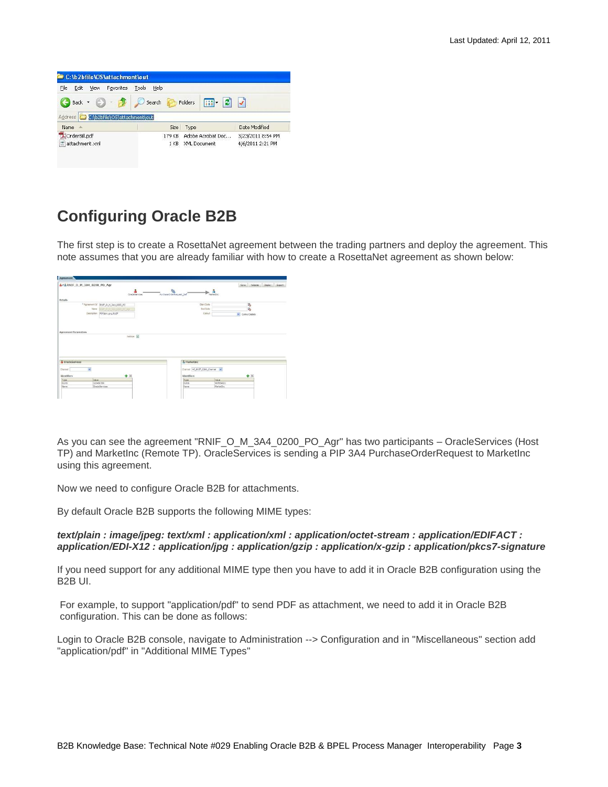| File<br>Edit<br>View           | Help<br>Tools<br>Favorites           |                                            |                   |
|--------------------------------|--------------------------------------|--------------------------------------------|-------------------|
| Back $\cdot$ $\circ$<br>$-15$  | Search                               | $\boxed{m}$ $\cdot$ $\boxed{c}$<br>Folders |                   |
| Address <sup>1</sup><br>Name < | C:\b2bfile\OS\attachment\out<br>Size | Type                                       | Date Modified     |
|                                |                                      | Adobe Acrobat Doc                          | 3/23/2011 8:54 PM |

## <span id="page-2-0"></span>**Configuring Oracle B2B**

The first step is to create a RosettaNet agreement between the trading partners and deploy the agreement. This note assumes that you are already familiar with how to create a RosettaNet agreement as shown below:

|                                                        | 3=3 RNIF_O_M_3A4_0200_PO_Agr          |                     |                          |                               |                    |                 | Save Valdate Deploy Export |  |
|--------------------------------------------------------|---------------------------------------|---------------------|--------------------------|-------------------------------|--------------------|-----------------|----------------------------|--|
|                                                        |                                       | A<br>OracleServices | PurchaseOrderRequest_Def |                               | å<br>Marketing     |                 |                            |  |
| Details                                                |                                       |                     |                          |                               |                    |                 |                            |  |
|                                                        | " Agreement 1d   0:0F_0_M_3A4_0200_PO |                     |                          | Start Date                    |                    | 码               |                            |  |
|                                                        | Neter Boston or tax cool PD War       |                     |                          | <b>End Date</b>               |                    | tè.             |                            |  |
|                                                        | Description PIP3A4 using RNF          |                     |                          | Calcut                        |                    | v Calout Detais |                            |  |
|                                                        |                                       | Valdate El          |                          |                               |                    |                 |                            |  |
|                                                        |                                       |                     |                          |                               |                    |                 |                            |  |
| <b>Agreement Parameters</b><br><b>C</b> OracleServices |                                       |                     |                          | & Harketinc                   |                    |                 |                            |  |
| $\check{\phantom{a}}$<br>Chiennel                      |                                       |                     |                          | Channel MLStdF_0200_Channel M |                    |                 |                            |  |
|                                                        |                                       | $+ x$               |                          | Identifiers                   |                    | $+3$            |                            |  |
| Identifiers<br>Yokie<br>Type<br>bus.<br>123455799      |                                       |                     |                          | Type<br><b>DUMS</b>           | sake.<br>987654321 |                 |                            |  |

As you can see the agreement "RNIF\_O\_M\_3A4\_0200\_PO\_Agr" has two participants – OracleServices (Host TP) and MarketInc (Remote TP). OracleServices is sending a PIP 3A4 PurchaseOrderRequest to MarketInc using this agreement.

Now we need to configure Oracle B2B for attachments.

By default Oracle B2B supports the following MIME types:

*text/plain : image/jpeg: text/xml : application/xml : application/octet-stream : application/EDIFACT : application/EDI-X12 : application/jpg : application/gzip : application/x-gzip : application/pkcs7-signature*

If you need support for any additional MIME type then you have to add it in Oracle B2B configuration using the B2B UI.

For example, to support "application/pdf" to send PDF as attachment, we need to add it in Oracle B2B configuration. This can be done as follows:

Login to Oracle B2B console, navigate to Administration --> Configuration and in "Miscellaneous" section add "application/pdf" in "Additional MIME Types"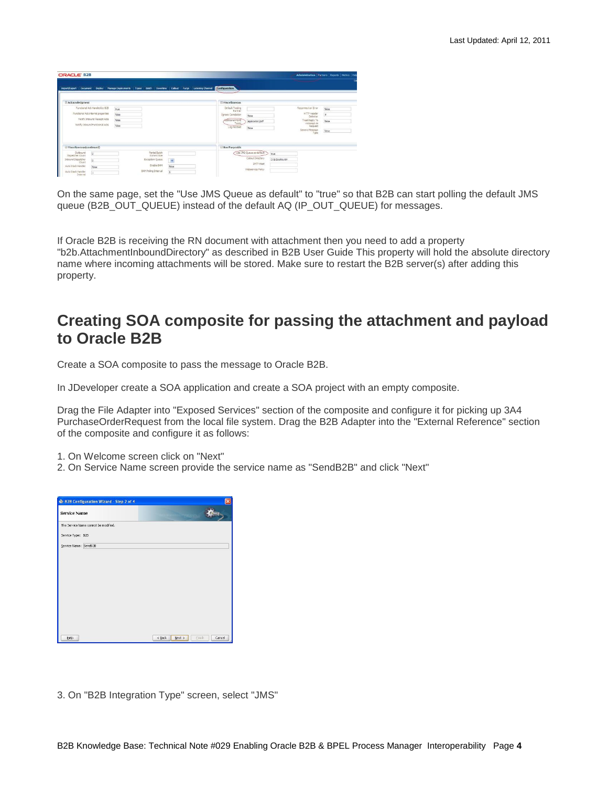| ORACLE B2B                                                                                                                                                                 |                                                                                             |                                             |                                                                                                     |                                                                                        |                                                                                                                            | Administration Partners Reports Metrics Help |
|----------------------------------------------------------------------------------------------------------------------------------------------------------------------------|---------------------------------------------------------------------------------------------|---------------------------------------------|-----------------------------------------------------------------------------------------------------|----------------------------------------------------------------------------------------|----------------------------------------------------------------------------------------------------------------------------|----------------------------------------------|
| Import/Export Document<br>Depky                                                                                                                                            | Types Batch<br>Manage Deployments                                                           | Downtime Callout Purge<br>Listening Channel | Configuration                                                                                       |                                                                                        |                                                                                                                            |                                              |
| <b>El Acknowledgment</b>                                                                                                                                                   |                                                                                             |                                             | E Hiscellaneous                                                                                     |                                                                                        |                                                                                                                            |                                              |
| Functional Ack Handled by 826<br>Functional Ack internal or poerties<br>Nettfy Inbound Recept Adis<br>Notify Inbound Functional Azis                                       | bue<br>false<br>false<br>false                                                              |                                             | Default Trading<br>Restruct<br><b>Ignore Correlation</b><br>ASSitional MINE<br>Types<br>Log Payload | faise<br>application locf<br>false                                                     | Reconnect on Error<br><b>HTTP Header</b><br>Delmiter<br>Treat Reply To<br>message as<br>Request<br>Generic Message<br>Type | false<br>$\equiv$<br>false<br>false          |
| El Miscellaneous (continued)                                                                                                                                               |                                                                                             |                                             | E Non Purgeable                                                                                     |                                                                                        |                                                                                                                            |                                              |
| Outbound<br>$\circ$<br>Dispetither Count<br>$\overline{\mathbb{Q}}$<br><b>Inbound Dispatcher</b><br>Count<br>Auto Stack Handler<br>false<br>Auto Stack Handler<br>Interval | Partei Batch<br>Commit Size<br>Exception Queue<br>Enable BAM<br><b>BAM Polling Interval</b> | $\overline{\phantom{a}}$<br>false<br>s      |                                                                                                     | Use JMS Queue as default<br>true<br>Calout Directory<br>SMTP Host<br>Webservice Policy | C:\b2bcalloutde                                                                                                            |                                              |

On the same page, set the "Use JMS Queue as default" to "true" so that B2B can start polling the default JMS queue (B2B\_OUT\_QUEUE) instead of the default AQ (IP\_OUT\_QUEUE) for messages.

If Oracle B2B is receiving the RN document with attachment then you need to add a property "b2b.AttachmentInboundDirectory" as described in B2B User Guide This property will hold the absolute directory name where incoming attachments will be stored. Make sure to restart the B2B server(s) after adding this property.

### <span id="page-3-0"></span>**Creating SOA composite for passing the attachment and payload to Oracle B2B**

Create a SOA composite to pass the message to Oracle B2B.

In JDeveloper create a SOA application and create a SOA project with an empty composite.

Drag the File Adapter into "Exposed Services" section of the composite and configure it for picking up 3A4 PurchaseOrderRequest from the local file system. Drag the B2B Adapter into the "External Reference" section of the composite and configure it as follows:

1. On Welcome screen click on "Next"

2. On Service Name screen provide the service name as "SendB2B" and click "Next"

| Service Name                         |  | <b>ALDED ATTIVARED ENGINEER</b> |  |
|--------------------------------------|--|---------------------------------|--|
| The Service Name cannot be modified. |  |                                 |  |
| Service Type: B2B                    |  |                                 |  |
| Service Name: SendB2B                |  |                                 |  |
|                                      |  |                                 |  |
|                                      |  |                                 |  |
|                                      |  |                                 |  |
|                                      |  |                                 |  |
|                                      |  |                                 |  |
|                                      |  |                                 |  |
|                                      |  |                                 |  |
|                                      |  |                                 |  |
|                                      |  |                                 |  |

3. On "B2B Integration Type" screen, select "JMS"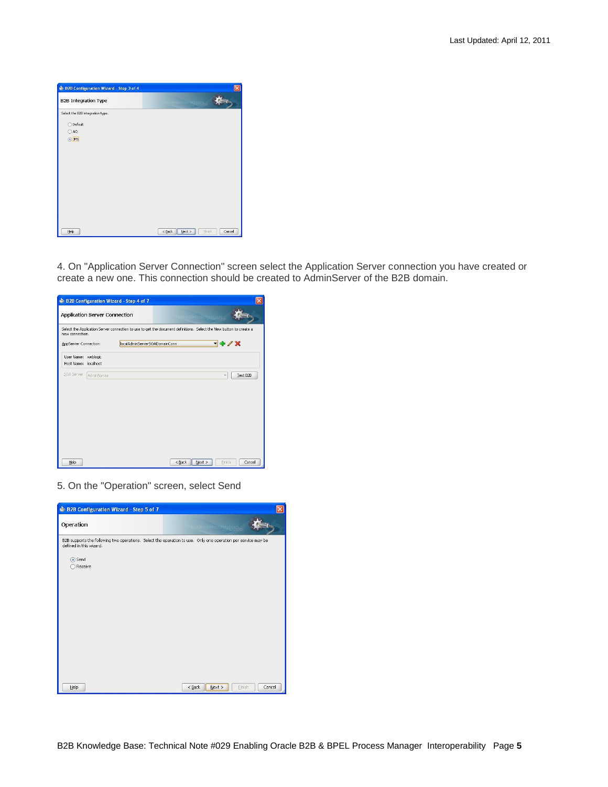| <b>B2B Integration Type</b>      |                                          |  |
|----------------------------------|------------------------------------------|--|
|                                  | ordio in idio i <sup>o in</sup> WANDOW C |  |
| Select the B2B integration type. |                                          |  |
| Default<br>∩                     |                                          |  |
| $O$ AQ                           |                                          |  |
| $\odot$ JMS                      |                                          |  |
|                                  |                                          |  |
|                                  |                                          |  |
|                                  |                                          |  |
|                                  |                                          |  |
|                                  |                                          |  |
|                                  |                                          |  |
|                                  |                                          |  |
|                                  |                                          |  |
|                                  |                                          |  |

4. On "Application Server Connection" screen select the Application Server connection you have created or create a new one. This connection should be created to AdminServer of the B2B domain.

| Select the Application Server connection to use to get the document definitions. Select the New button to create a<br>new connection.<br>- + / X<br>localAdminServerSOADomainConn<br>AppServer Connection:<br>User Name: weblogic<br>Host Name: localhost<br><b>SOA Server</b><br>Test B2B<br>AdminServer<br>× | Application Server Connection |  |        |
|----------------------------------------------------------------------------------------------------------------------------------------------------------------------------------------------------------------------------------------------------------------------------------------------------------------|-------------------------------|--|--------|
|                                                                                                                                                                                                                                                                                                                |                               |  |        |
|                                                                                                                                                                                                                                                                                                                |                               |  |        |
|                                                                                                                                                                                                                                                                                                                |                               |  |        |
|                                                                                                                                                                                                                                                                                                                |                               |  |        |
|                                                                                                                                                                                                                                                                                                                |                               |  |        |
|                                                                                                                                                                                                                                                                                                                |                               |  |        |
|                                                                                                                                                                                                                                                                                                                |                               |  |        |
|                                                                                                                                                                                                                                                                                                                |                               |  |        |
|                                                                                                                                                                                                                                                                                                                |                               |  |        |
|                                                                                                                                                                                                                                                                                                                |                               |  |        |
| Help<br>$<$ Back<br>Next ><br>Finish                                                                                                                                                                                                                                                                           |                               |  | Cancel |

5. On the "Operation" screen, select Send

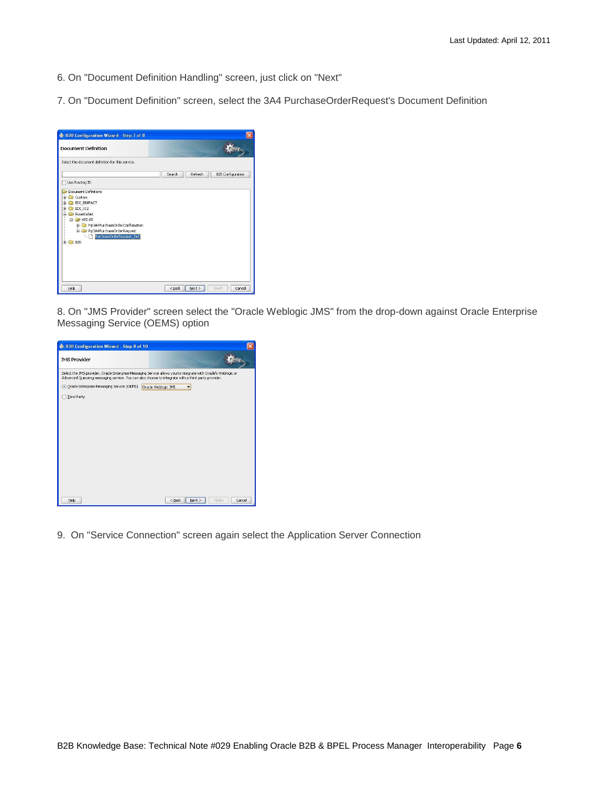- 6. On "Document Definition Handling" screen, just click on "Next"
- 7. On "Document Definition" screen, select the 3A4 PurchaseOrderRequest's Document Definition

| <b>Document Definition</b>                                                                                                                                                                                                 | <b>WEDDING CONSTRUCTS</b>                     |
|----------------------------------------------------------------------------------------------------------------------------------------------------------------------------------------------------------------------------|-----------------------------------------------|
| Select the document definition for this service.                                                                                                                                                                           |                                               |
|                                                                                                                                                                                                                            | Refresh<br><b>B2B Configuration</b><br>Search |
| Use Routing ID                                                                                                                                                                                                             |                                               |
| Document Definitions<br>Custom<br>画<br><b>EDI EDIFACT</b><br>匣<br>EDI X12<br>审<br><b>RosettaNet</b><br>白 2 V02.00<br>Pip3A4PurchaseOrderConfirmation<br>Pip3A4PurchaseOrderRequest<br>PurchaseOrderRequest_Def<br>由 2B B2B |                                               |
| Help                                                                                                                                                                                                                       | $<$ Back<br>Finish<br>Next ><br>Cancel        |

8. On "JMS Provider" screen select the "Oracle Weblogic JMS" from the drop-down against Oracle Enterprise Messaging Service (OEMS) option

| B2B Configuration Wizard - Step 8 of 10                          |                                                                                                                                                                                                                      |        |
|------------------------------------------------------------------|----------------------------------------------------------------------------------------------------------------------------------------------------------------------------------------------------------------------|--------|
| <b>JMS Provider</b>                                              |                                                                                                                                                                                                                      |        |
|                                                                  | Select the JMS provider. Oracle Enterprise Messaging Service allows you to integrate with Oracle's Weblogic or<br>Advanced Queueing messaging service. You can also choose to integrate with a third party provider. |        |
| · Oracle Enterprise Messaging Service (OEMS) Oracle Weblogic JMS |                                                                                                                                                                                                                      |        |
| Third Party                                                      |                                                                                                                                                                                                                      |        |
|                                                                  |                                                                                                                                                                                                                      |        |
|                                                                  |                                                                                                                                                                                                                      |        |
|                                                                  |                                                                                                                                                                                                                      |        |
|                                                                  |                                                                                                                                                                                                                      |        |
|                                                                  |                                                                                                                                                                                                                      |        |
|                                                                  |                                                                                                                                                                                                                      |        |
|                                                                  |                                                                                                                                                                                                                      |        |
|                                                                  |                                                                                                                                                                                                                      |        |
|                                                                  |                                                                                                                                                                                                                      |        |
|                                                                  |                                                                                                                                                                                                                      |        |
| Help                                                             | $<$ Back<br>Next<br>Finish                                                                                                                                                                                           | Cancel |

9. On "Service Connection" screen again select the Application Server Connection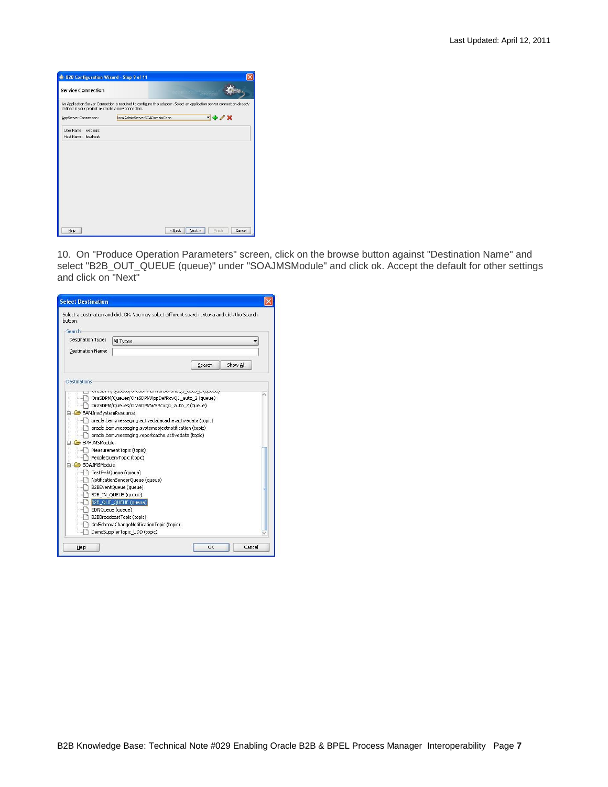| An Application Server Connection is required to configure this adapter. Select an application server connection already<br>defined in your project or create a new connection.<br>$-4/8$<br>IncalAdminServerSOADomainConn<br>AppServer Connection:<br>weblogic<br>User Name:<br>Host Name: localhost | <b>Service Connection</b> | <b>CONTRACTOR CONTRACTOR</b> |  |
|------------------------------------------------------------------------------------------------------------------------------------------------------------------------------------------------------------------------------------------------------------------------------------------------------|---------------------------|------------------------------|--|
|                                                                                                                                                                                                                                                                                                      |                           |                              |  |
|                                                                                                                                                                                                                                                                                                      |                           |                              |  |
|                                                                                                                                                                                                                                                                                                      |                           |                              |  |
|                                                                                                                                                                                                                                                                                                      |                           |                              |  |
|                                                                                                                                                                                                                                                                                                      |                           |                              |  |
|                                                                                                                                                                                                                                                                                                      |                           |                              |  |
|                                                                                                                                                                                                                                                                                                      |                           |                              |  |
|                                                                                                                                                                                                                                                                                                      |                           |                              |  |
|                                                                                                                                                                                                                                                                                                      |                           |                              |  |
|                                                                                                                                                                                                                                                                                                      |                           |                              |  |
|                                                                                                                                                                                                                                                                                                      |                           |                              |  |
|                                                                                                                                                                                                                                                                                                      |                           |                              |  |
|                                                                                                                                                                                                                                                                                                      |                           |                              |  |
|                                                                                                                                                                                                                                                                                                      |                           |                              |  |
| Help<br>Finish<br>$<$ Back<br>Next                                                                                                                                                                                                                                                                   |                           |                              |  |

10. On "Produce Operation Parameters" screen, click on the browse button against "Destination Name" and select "B2B\_OUT\_QUEUE (queue)" under "SOAJMSModule" and click ok. Accept the default for other settings and click on "Next"

| <b>Select Destination</b>                                   |                                                                                                                                                                                                                                                                                                                                                                                                                                                                                                                                                                                                        |
|-------------------------------------------------------------|--------------------------------------------------------------------------------------------------------------------------------------------------------------------------------------------------------------------------------------------------------------------------------------------------------------------------------------------------------------------------------------------------------------------------------------------------------------------------------------------------------------------------------------------------------------------------------------------------------|
| button.                                                     | Select a destination and click OK, You may select different search criteria and click the Search                                                                                                                                                                                                                                                                                                                                                                                                                                                                                                       |
| Search                                                      |                                                                                                                                                                                                                                                                                                                                                                                                                                                                                                                                                                                                        |
| Destination Type:                                           | All Types                                                                                                                                                                                                                                                                                                                                                                                                                                                                                                                                                                                              |
| <b>Destination Name:</b>                                    |                                                                                                                                                                                                                                                                                                                                                                                                                                                                                                                                                                                                        |
|                                                             | Search<br>Show All                                                                                                                                                                                                                                                                                                                                                                                                                                                                                                                                                                                     |
| Destinations                                                |                                                                                                                                                                                                                                                                                                                                                                                                                                                                                                                                                                                                        |
| BAMJmsSystemResource<br>BPMJMSModule<br><b>SOAJMSModule</b> | OraSDPM/Queues/OraSDPMAppDefRcvQ1 auto 2 (queue)<br>Ora5DPM/Oueues/Ora5DPMW5RcvQ1 auto 2 (queue)<br>oracle.bam.messaging.activedatacache.activedata (topic)<br>oracle.bam.messaging.systemobjectnotification (topic)<br>oracle.bam.messaging.reportcache.activedata (topic)<br>MeasurementTopic (topic)<br>PeopleQueryTopic (topic)<br>TestFwkQueue (queue)<br>NotificationSenderOueue (queue)<br>B2BEventQueue (gueue)<br>B2B IN OUEUE (queue)<br>B2B OUT QUEUE (queue)<br>EDNQueue (queue)<br>B2BBroadcastTopic (topic)<br>XmlSchemaChangeNotificationTopic (topic)<br>DemoSupplierTopic UDD (topic) |
| Help                                                        | Cancel<br>OK                                                                                                                                                                                                                                                                                                                                                                                                                                                                                                                                                                                           |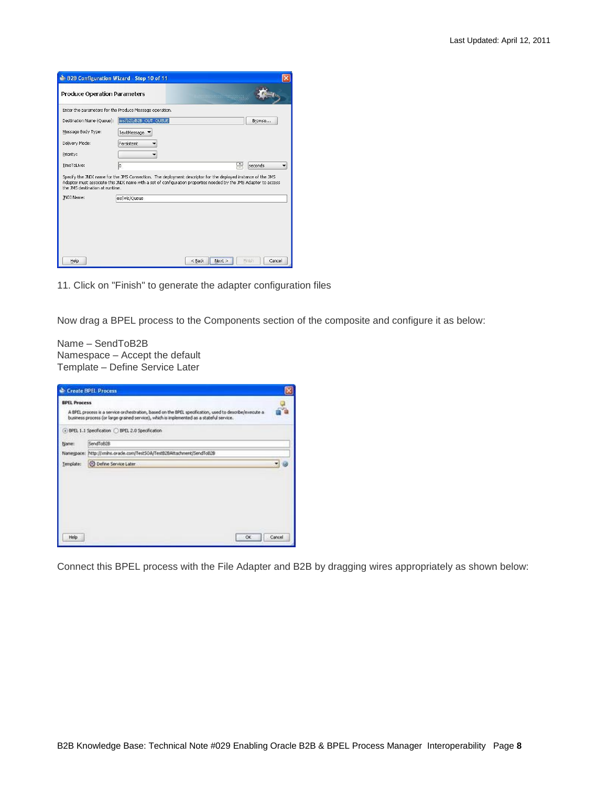| B2B Configuration Wizard - Step 10 of 11                |                       |                                                                                                                                                                                                                                  |   |                  |
|---------------------------------------------------------|-----------------------|----------------------------------------------------------------------------------------------------------------------------------------------------------------------------------------------------------------------------------|---|------------------|
| <b>Produce Operation Parameters</b>                     |                       | <b>IDIDIDIDI TRAVIS DASS</b>                                                                                                                                                                                                     |   |                  |
| Enter the parameters for the Produce Message operation. |                       |                                                                                                                                                                                                                                  |   |                  |
| Destination Name (Queue):                               | ims/b2b/B2B_OUT_QUEUE |                                                                                                                                                                                                                                  |   | Browse           |
| Message Body Type:                                      | TextMessage           |                                                                                                                                                                                                                                  |   |                  |
| Delivery Mode:                                          | Persistent            |                                                                                                                                                                                                                                  |   |                  |
| Priority:                                               |                       |                                                                                                                                                                                                                                  |   |                  |
| TimeToLive:                                             | ۱o                    |                                                                                                                                                                                                                                  | ₽ | seconds          |
| the JMS destination at runtime.                         |                       | Specify the JNDI name for the JMS Connection. The deployment descriptor for the deployed instance of the JMS<br>Adapter must associate this JNDI name with a set of configuration properties needed by the JMS Adapter to access |   |                  |
| JNDI Name:                                              | eis/wls/Queue         |                                                                                                                                                                                                                                  |   |                  |
|                                                         |                       |                                                                                                                                                                                                                                  |   |                  |
| Help                                                    |                       | $<$ Back<br>Next                                                                                                                                                                                                                 |   | Cancel<br>Finish |

11. Click on "Finish" to generate the adapter configuration files

Now drag a BPEL process to the Components section of the composite and configure it as below:

Name – SendToB2B Namespace – Accept the default Template – Define Service Later

|                     | <b>Create BPEL Process</b>                                                                                                                                                                         |        |
|---------------------|----------------------------------------------------------------------------------------------------------------------------------------------------------------------------------------------------|--------|
| <b>EPEL Process</b> | A BFEL process is a service orchestration, based on the BFEL specification, used to describe/execute a<br>business process (or large grained service), which is implemented as a stateful service. |        |
|                     | ⊙ BPEL 1.1 Specification ○ BPEL 2.0 Specification                                                                                                                                                  |        |
| Name:               | SendToB28                                                                                                                                                                                          |        |
|                     | Namespace: http://imihs.orade.com/Test50A/Test82BAltachment/SendToB2B                                                                                                                              |        |
| Template:           | O Define Service Later                                                                                                                                                                             |        |
|                     |                                                                                                                                                                                                    |        |
|                     |                                                                                                                                                                                                    |        |
| Help                | ĆК                                                                                                                                                                                                 | Cancel |

Connect this BPEL process with the File Adapter and B2B by dragging wires appropriately as shown below: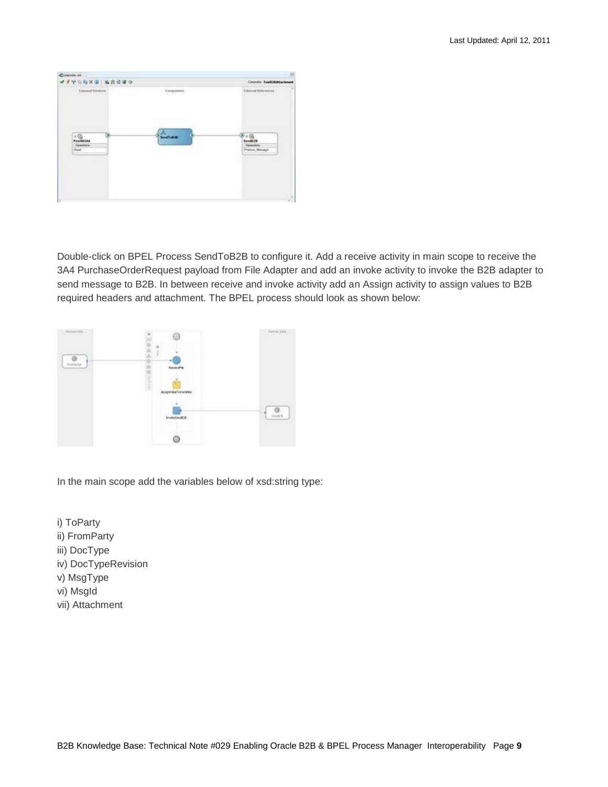| <b>VITERS EXCITE</b>                          |                     | Congrate: Exutil/EARachment<br>External References |
|-----------------------------------------------|---------------------|----------------------------------------------------|
| <b>Consol Services</b>                        | Computered          | <b>Contract Contract Avenue</b>                    |
| $+65$                                         | <b>BETHI Thread</b> |                                                    |
| <b>PULLIPALAA</b><br>Орензиле<br><b>Frank</b> |                     | Sand4 (19<br><b>Depression</b><br>Protyce Message  |
|                                               |                     |                                                    |
|                                               |                     |                                                    |

Double-click on BPEL Process SendToB2B to configure it. Add a receive activity in main scope to receive the 3A4 PurchaseOrderRequest payload from File Adapter and add an invoke activity to invoke the B2B adapter to send message to B2B. In between receive and invoke activity add an Assign activity to assign values to B2B required headers and attachment. The BPEL process should look as shown below:



In the main scope add the variables below of xsd:string type:

i) ToParty

- ii) FromParty
- iii) DocType
- iv) DocTypeRevision
- v) MsgType
- vi) MsgId
- vii) Attachment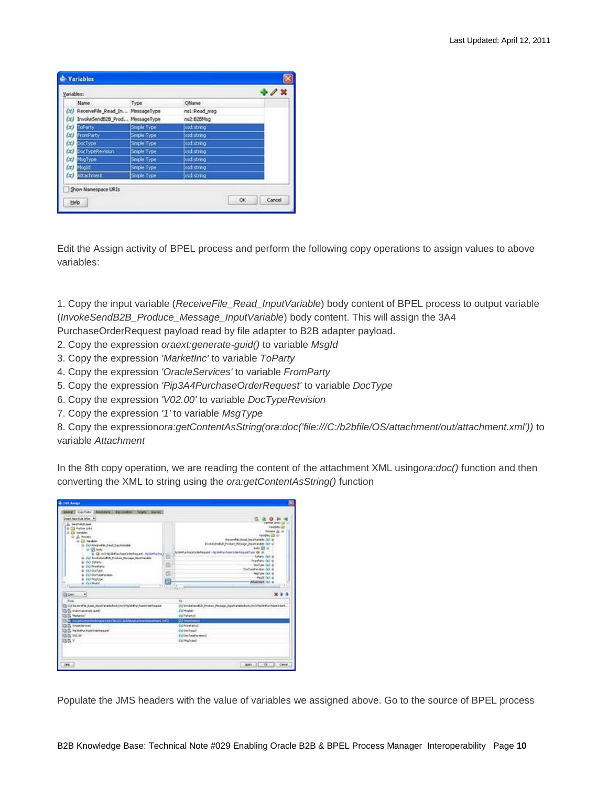| Variables: |                                     |              |              |  |  |
|------------|-------------------------------------|--------------|--------------|--|--|
|            | Name                                | Type         | OName        |  |  |
|            | (x) ReceiveFile_Read_In MessageType |              | ns1:Read_msg |  |  |
|            | (x) InvokeSend828 Prod MessageType  |              | ns2:B2EMsg   |  |  |
|            | (x) ToParty                         | Simple Type: | usd:string   |  |  |
|            | (R) FromParty                       | Simple Type  | xsd:string   |  |  |
|            | $(x)$ Doclape                       | Smple Type   | xsd:string   |  |  |
|            | (A) DocTypeRevision                 | Simple Type  | xsd:string   |  |  |
|            | (a) MsgType                         | Simple Type  | ksd:string   |  |  |
|            | (E) Msold                           | Simple Type  | xsd:string   |  |  |
|            | (E) Attachment                      | Simple Type  | xsd:string   |  |  |
|            | Show Namespace URIs                 |              |              |  |  |

Edit the Assign activity of BPEL process and perform the following copy operations to assign values to above variables:

1. Copy the input variable (*ReceiveFile\_Read\_InputVariable*) body content of BPEL process to output variable (*InvokeSendB2B\_Produce\_Message\_InputVariable*) body content. This will assign the 3A4

PurchaseOrderRequest payload read by file adapter to B2B adapter payload.

- 2. Copy the expression *oraext:generate-guid()* to variable *MsgId*
- 3. Copy the expression *'MarketInc'* to variable *ToParty*
- 4. Copy the expression *'OracleServices'* to variable *FromParty*
- 5. Copy the expression *'Pip3A4PurchaseOrderRequest'* to variable *DocType*
- 6. Copy the expression *'V02.00'* to variable *DocTypeRevision*
- 7. Copy the expression *'1'* to variable *MsgType*

8. Copy the expression*ora:getContentAsString(ora:doc('file:///C:/b2bfile/OS/attachment/out/attachment.xml'))* to variable *Attachment*

In the 8th copy operation, we are reading the content of the attachment XML using*ora:doc()* function and then converting the XML to string using the *ora:getContentAsString()* function

| Grand Contras (Western Barberton Tarpet Boots)                          |                                                                                          |  |
|-------------------------------------------------------------------------|------------------------------------------------------------------------------------------|--|
| <b>Joan Rachel Alter #</b>                                              |                                                                                          |  |
| A bestwaring                                                            | <b>VANNA LESS LT</b>                                                                     |  |
| <b>B</b> CD Parties Links                                               | Virginia LD                                                                              |  |
| 12-23 Tehelder                                                          | Property July 10                                                                         |  |
| Grade Modele                                                            | vanter in all                                                                            |  |
| <b>U. D.S. Vanakeer</b>                                                 | <b>Report For Head Security Adds (SC) at</b>                                             |  |
| 1 B CO PAGE-FBI FAST DEATHING                                           | Industrialist Product Newson Stadinistic (S) to                                          |  |
| GL-01 look-                                                             | leater \$25 to                                                                           |  |
| E. O. nortplatfuctualcommunic restatution<br>ä                          | Nicola chance the auto in the fact and the control of the con-<br><b>Salario Col. in</b> |  |
| in CO Invitationit25, Finlan Noman, Systematic                          | Frontenz DO W                                                                            |  |
| <b>B. OO Tallats</b><br>ш                                               | Darlam GO &                                                                              |  |
| is Col Products                                                         | Corbonheren 00 a                                                                         |  |
| B OU Cluffulni<br>岂<br>A. Oil contactwiser.                             | highes (b) a                                                                             |  |
| a complex                                                               | Page 20 is                                                                               |  |
| n<br>in call model.                                                     | Missioned (s) is                                                                         |  |
|                                                                         | w                                                                                        |  |
| н<br><b>Giber</b>                                                       |                                                                                          |  |
| diam.                                                                   | Eb.                                                                                      |  |
| CO Record M. Food, Josef Innishabide De D Pa Mill Participate Antiques  | (1) Protein-ADI Jimian Pennan Justimated related that the hand-date                      |  |
| One-known provide (C)                                                   | (COModal)                                                                                |  |
| <b>US IS Minimar</b>                                                    | (id falwhat                                                                              |  |
| E: www.petta-technologians-better-citt, Achifecture televisione et. And | <b>DO MARINESE</b>                                                                       |  |
| <b>IS Theoderand</b>                                                    | (kimieretatu)                                                                            |  |
| <b>Co CL To Nicholson Installation and</b>                              | distributions?                                                                           |  |
| 自我 Mater                                                                | Distributional annuality                                                                 |  |
|                                                                         | EXPRESSMENT                                                                              |  |
| <b>DRY</b>                                                              |                                                                                          |  |
|                                                                         |                                                                                          |  |
| <b>CHE</b>                                                              | Balti Ol Cave                                                                            |  |

Populate the JMS headers with the value of variables we assigned above. Go to the source of BPEL process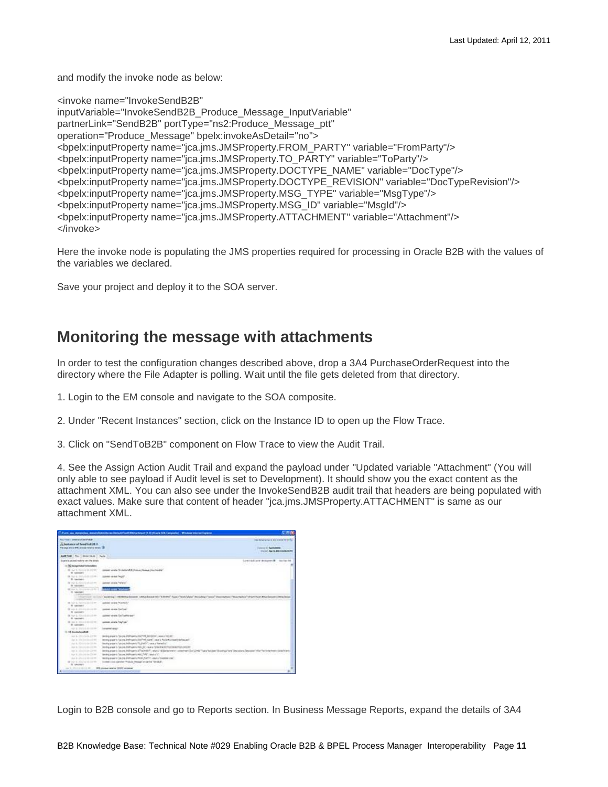and modify the invoke node as below:

<invoke name="InvokeSendB2B" inputVariable="InvokeSendB2B\_Produce\_Message\_InputVariable" partnerLink="SendB2B" portType="ns2:Produce\_Message\_ptt" operation="Produce\_Message" bpelx:invokeAsDetail="no"> <bpelx:inputProperty name="jca.jms.JMSProperty.FROM\_PARTY" variable="FromParty"/> <bpelx:inputProperty name="jca.jms.JMSProperty.TO\_PARTY" variable="ToParty"/> <bpelx:inputProperty name="jca.jms.JMSProperty.DOCTYPE\_NAME" variable="DocType"/> <bpelx:inputProperty name="jca.jms.JMSProperty.DOCTYPE\_REVISION" variable="DocTypeRevision"/> <bpelx:inputProperty name="jca.jms.JMSProperty.MSG\_TYPE" variable="MsgType"/> <bpelx:inputProperty name="jca.jms.JMSProperty.MSG\_ID" variable="MsgId"/> <bpelx:inputProperty name="jca.jms.JMSProperty.ATTACHMENT" variable="Attachment"/> </invoke>

Here the invoke node is populating the JMS properties required for processing in Oracle B2B with the values of the variables we declared.

Save your project and deploy it to the SOA server.

#### <span id="page-10-0"></span>**Monitoring the message with attachments**

In order to test the configuration changes described above, drop a 3A4 PurchaseOrderRequest into the directory where the File Adapter is polling. Wait until the file gets deleted from that directory.

1. Login to the EM console and navigate to the SOA composite.

2. Under "Recent Instances" section, click on the Instance ID to open up the Flow Trace.

3. Click on "SendToB2B" component on Flow Trace to view the Audit Trail.

4. See the Assign Action Audit Trail and expand the payload under "Updated variable "Attachment" (You will only able to see payload if Audit level is set to Development). It should show you the exact content as the attachment XML. You can also see under the InvokeSendB2B audit trail that headers are being populated with exact values. Make sure that content of header "jca.jms.JMSProperty.ATTACHMENT" is same as our attachment XML.



Login to B2B console and go to Reports section. In Business Message Reports, expand the details of 3A4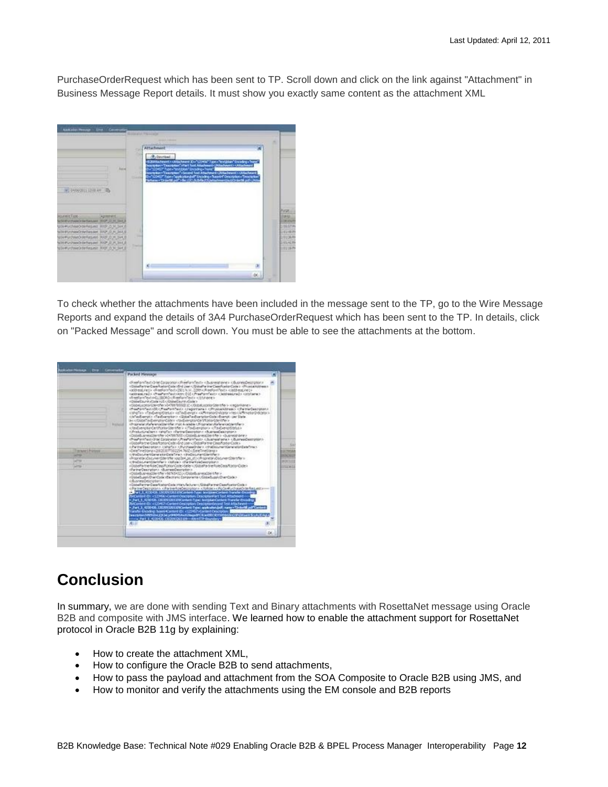PurchaseOrderRequest which has been sent to TP. Scroll down and click on the link against "Attachment" in Business Message Report details. It must show you exactly same content as the attachment XML



To check whether the attachments have been included in the message sent to the TP, go to the Wire Message Reports and expand the details of 3A4 PurchaseOrderRequest which has been sent to the TP. In details, click on "Packed Message" and scroll down. You must be able to see the attachments at the bottom.



## <span id="page-11-0"></span>**Conclusion**

In summary, we are done with sending Text and Binary attachments with RosettaNet message using Oracle B2B and composite with JMS interface. We learned how to enable the attachment support for RosettaNet protocol in Oracle B2B 11g by explaining:

- How to create the attachment XML,
- How to configure the Oracle B2B to send attachments,
- How to pass the payload and attachment from the SOA Composite to Oracle B2B using JMS, and
- How to monitor and verify the attachments using the EM console and B2B reports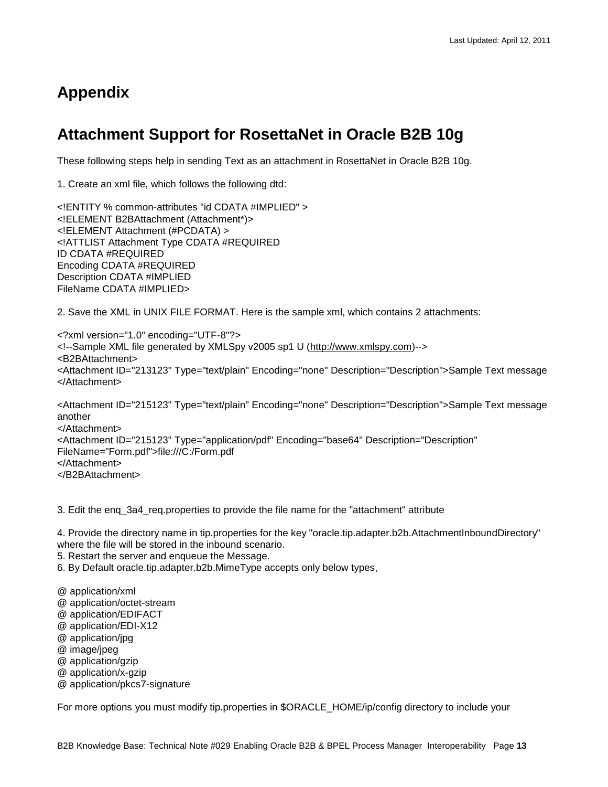# <span id="page-12-0"></span>**Appendix**

## <span id="page-12-1"></span>**Attachment Support for RosettaNet in Oracle B2B 10g**

These following steps help in sending Text as an attachment in RosettaNet in Oracle B2B 10g.

1. Create an xml file, which follows the following dtd:

<!ENTITY % common-attributes "id CDATA #IMPLIED" > <!ELEMENT B2BAttachment (Attachment\*)> <!ELEMENT Attachment (#PCDATA) > <!ATTLIST Attachment Type CDATA #REQUIRED ID CDATA #REQUIRED Encoding CDATA #REQUIRED Description CDATA #IMPLIED FileName CDATA #IMPLIED>

2. Save the XML in UNIX FILE FORMAT. Here is the sample xml, which contains 2 attachments:

<?xml version="1.0" encoding="UTF-8"?> <!--Sample XML file generated by XMLSpy v2005 sp1 U [\(http://www.xmlspy.com\)](http://www.xmlspy.com/)--> <B2BAttachment> <Attachment ID="213123" Type="text/plain" Encoding="none" Description="Description">Sample Text message </Attachment>

<Attachment ID="215123" Type="text/plain" Encoding="none" Description="Description">Sample Text message another </Attachment> <Attachment ID="215123" Type="application/pdf" Encoding="base64" Description="Description" FileName="Form.pdf">file:///C:/Form.pdf </Attachment> </B2BAttachment>

3. Edit the enq\_3a4\_req.properties to provide the file name for the "attachment" attribute

4. Provide the directory name in tip.properties for the key "oracle.tip.adapter.b2b.AttachmentInboundDirectory" where the file will be stored in the inbound scenario.

5. Restart the server and enqueue the Message.

6. By Default oracle.tip.adapter.b2b.MimeType accepts only below types,

- @ application/xml
- @ application/octet-stream
- @ application/EDIFACT
- @ application/EDI-X12
- @ application/jpg
- @ image/jpeg
- @ application/gzip
- @ application/x-gzip
- @ application/pkcs7-signature

For more options you must modify tip.properties in \$ORACLE\_HOME/ip/config directory to include your